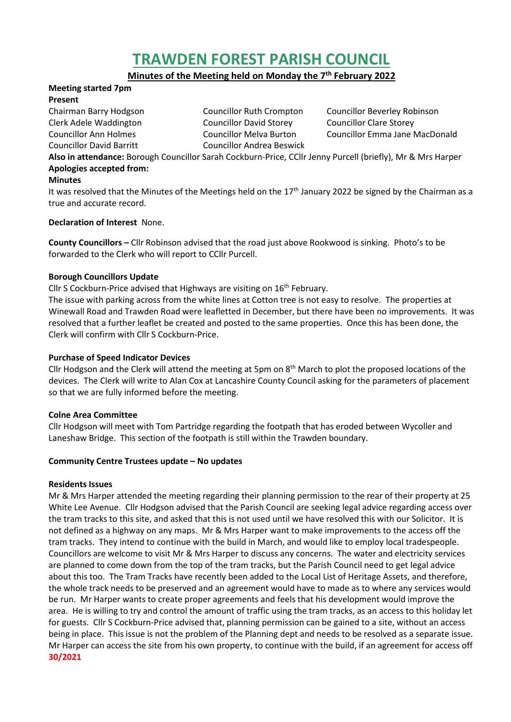# **TRAWDEN FOREST PARISH COUNCIL**

**Minutes of the Meeting held on Monday the 7 th February 2022**

# **Meeting started 7pm**

**Present**

Clerk Adele Waddington Councillor David Storey Councillor Clare Storey Councillor David Barritt Councillor Andrea Beswick

Chairman Barry Hodgson Councillor Ruth Crompton Councillor Beverley Robinson Councillor Ann Holmes Councillor Melva Burton Councillor Emma Jane MacDonald

**Also in attendance:** Borough Councillor Sarah Cockburn-Price, CCllr Jenny Purcell (briefly), Mr & Mrs Harper **Apologies accepted from:** 

# **Minutes**

It was resolved that the Minutes of the Meetings held on the 17<sup>th</sup> January 2022 be signed by the Chairman as a true and accurate record.

# **Declaration of Interest** None.

**County Councillors –** Cllr Robinson advised that the road just above Rookwood is sinking. Photo's to be forwarded to the Clerk who will report to CCllr Purcell.

# **Borough Councillors Update**

Cllr S Cockburn-Price advised that Highways are visiting on  $16<sup>th</sup>$  February.

The issue with parking across from the white lines at Cotton tree is not easy to resolve. The properties at Winewall Road and Trawden Road were leafletted in December, but there have been no improvements. It was resolved that a further leaflet be created and posted to the same properties. Once this has been done, the Clerk will confirm with Cllr S Cockburn-Price.

# **Purchase of Speed Indicator Devices**

Cllr Hodgson and the Clerk will attend the meeting at 5pm on 8th March to plot the proposed locations of the devices. The Clerk will write to Alan Cox at Lancashire County Council asking for the parameters of placement so that we are fully informed before the meeting.

#### **Colne Area Committee**

Cllr Hodgson will meet with Tom Partridge regarding the footpath that has eroded between Wycoller and Laneshaw Bridge. This section of the footpath is still within the Trawden boundary.

#### **Community Centre Trustees update – No updates**

#### **Residents Issues**

Mr & Mrs Harper attended the meeting regarding their planning permission to the rear of their property at 25 White Lee Avenue. Cllr Hodgson advised that the Parish Council are seeking legal advice regarding access over the tram tracks to this site, and asked that this is not used until we have resolved this with our Solicitor. It is not defined as a highway on any maps. Mr & Mrs Harper want to make improvements to the access off the tram tracks. They intend to continue with the build in March, and would like to employ local tradespeople. Councillors are welcome to visit Mr & Mrs Harper to discuss any concerns. The water and electricity services are planned to come down from the top of the tram tracks, but the Parish Council need to get legal advice about this too. The Tram Tracks have recently been added to the Local List of Heritage Assets, and therefore, the whole track needs to be preserved and an agreement would have to made as to where any services would be run. Mr Harper wants to create proper agreements and feels that his development would improve the area. He is willing to try and control the amount of traffic using the tram tracks, as an access to this holiday let for guests. Cllr S Cockburn-Price advised that, planning permission can be gained to a site, without an access being in place. This issue is not the problem of the Planning dept and needs to be resolved as a separate issue. Mr Harper can access the site from his own property, to continue with the build, if an agreement for access off **30/2021**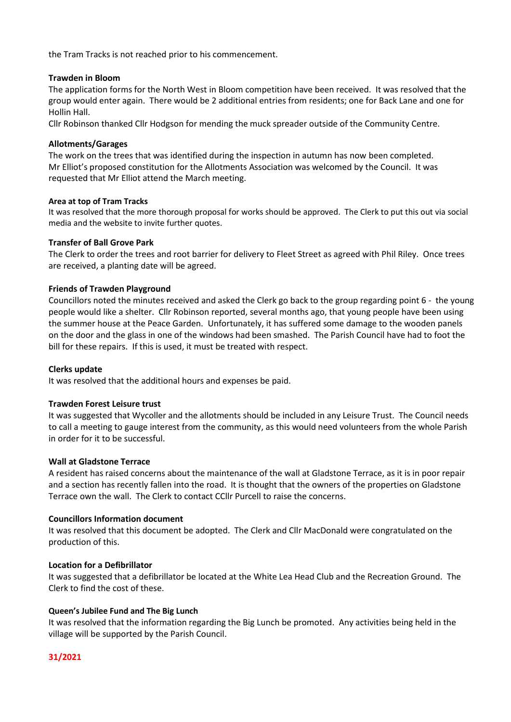the Tram Tracks is not reached prior to his commencement.

#### **Trawden in Bloom**

The application forms for the North West in Bloom competition have been received. It was resolved that the group would enter again. There would be 2 additional entries from residents; one for Back Lane and one for Hollin Hall.

Cllr Robinson thanked Cllr Hodgson for mending the muck spreader outside of the Community Centre.

# **Allotments/Garages**

The work on the trees that was identified during the inspection in autumn has now been completed. Mr Elliot's proposed constitution for the Allotments Association was welcomed by the Council. It was requested that Mr Elliot attend the March meeting.

# **Area at top of Tram Tracks**

It was resolved that the more thorough proposal for works should be approved. The Clerk to put this out via social media and the website to invite further quotes.

# **Transfer of Ball Grove Park**

The Clerk to order the trees and root barrier for delivery to Fleet Street as agreed with Phil Riley. Once trees are received, a planting date will be agreed.

# **Friends of Trawden Playground**

Councillors noted the minutes received and asked the Clerk go back to the group regarding point 6 - the young people would like a shelter. Cllr Robinson reported, several months ago, that young people have been using the summer house at the Peace Garden. Unfortunately, it has suffered some damage to the wooden panels on the door and the glass in one of the windows had been smashed. The Parish Council have had to foot the bill for these repairs. If this is used, it must be treated with respect.

#### **Clerks update**

It was resolved that the additional hours and expenses be paid.

#### **Trawden Forest Leisure trust**

It was suggested that Wycoller and the allotments should be included in any Leisure Trust. The Council needs to call a meeting to gauge interest from the community, as this would need volunteers from the whole Parish in order for it to be successful.

#### **Wall at Gladstone Terrace**

A resident has raised concerns about the maintenance of the wall at Gladstone Terrace, as it is in poor repair and a section has recently fallen into the road. It is thought that the owners of the properties on Gladstone Terrace own the wall. The Clerk to contact CCllr Purcell to raise the concerns.

#### **Councillors Information document**

It was resolved that this document be adopted. The Clerk and Cllr MacDonald were congratulated on the production of this.

#### **Location for a Defibrillator**

It was suggested that a defibrillator be located at the White Lea Head Club and the Recreation Ground. The Clerk to find the cost of these.

#### **Queen's Jubilee Fund and The Big Lunch**

It was resolved that the information regarding the Big Lunch be promoted. Any activities being held in the village will be supported by the Parish Council.

#### **31/2021**